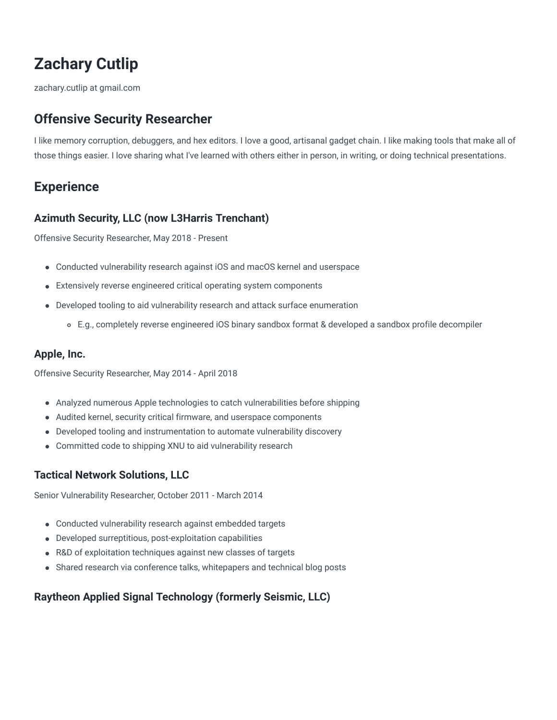# **Zachary Cutlip**

zachary.cutlip at gmail.com

# **Offensive Security Researcher**

I like memory corruption, debuggers, and hex editors. I love a good, artisanal gadget chain. I like making tools that make all of those things easier. I love sharing what I've learned with others either in person, in writing, or doing technical presentations.

# **Experience**

#### **Azimuth Security, LLC (now L3Harris Trenchant)**

Offensive Security Researcher, May 2018 - Present

- Conducted vulnerability research against iOS and macOS kernel and userspace
- Extensively reverse engineered critical operating system components
- Developed tooling to aid vulnerability research and attack surface enumeration
	- E.g., completely reverse engineered iOS binary sandbox format & developed a sandbox profile decompiler

### **Apple, Inc.**

Offensive Security Researcher, May 2014 - April 2018

- Analyzed numerous Apple technologies to catch vulnerabilities before shipping
- Audited kernel, security critical firmware, and userspace components
- Developed tooling and instrumentation to automate vulnerability discovery
- Committed code to shipping XNU to aid vulnerability research

## **Tactical Network Solutions, LLC**

Senior Vulnerability Researcher, October 2011 - March 2014

- Conducted vulnerability research against embedded targets
- Developed surreptitious, post-exploitation capabilities
- R&D of exploitation techniques against new classes of targets
- Shared research via conference talks, whitepapers and technical blog posts

## **Raytheon Applied Signal Technology (formerly Seismic, LLC)**